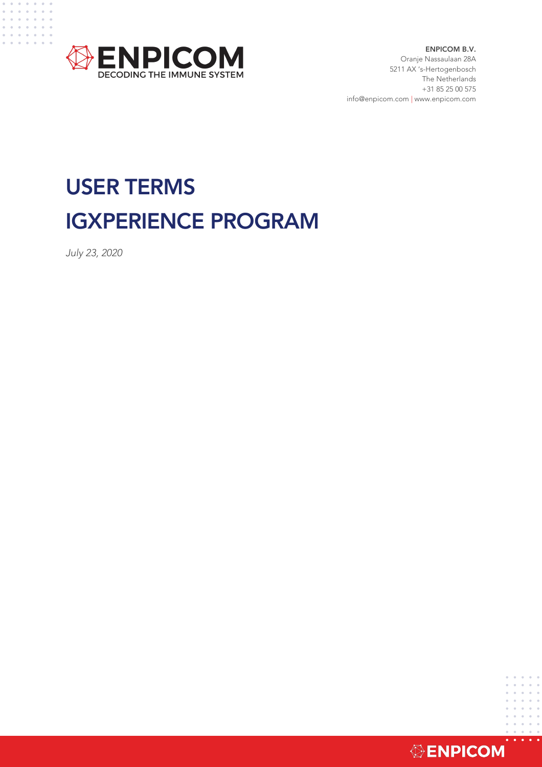

ENPICOM B.V. Oranje Nassaulaan 28A 5211 AX 's-Hertogenbosch The Netherlands +31 85 25 00 575 info@enpicom.com | www.enpicom.com

# USER TERMS IGXPERIENCE PROGRAM

*July 23, 2020*

 $\alpha$  ,  $\alpha$  ,  $\alpha$ and a state